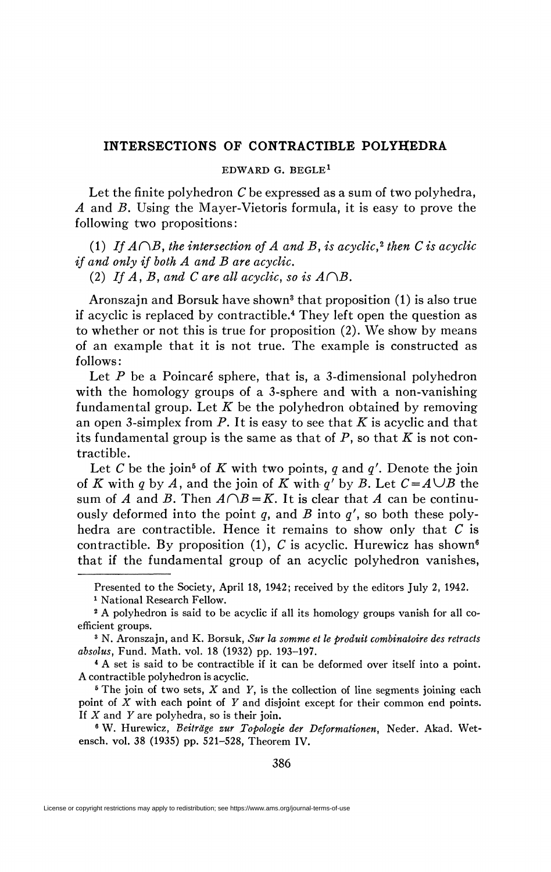## **INTERSECTIONS OF CONTRACTIBLE POLYHEDRA**

## EDWARD G. BEGLE<sup>1</sup>

Let the finite polyhedron *C* be expressed as a sum of two polyhedra, *A* and *B.* Using the Mayer-Vietoris formula, it is easy to prove the following two propositions:

(1) If  $A \cap B$ , the intersection of A and B, is acyclic,<sup>2</sup> then C is acyclic *if and only if both A and B are acyclic.* 

(2) If A, B, and C are all acyclic, so is  $A\cap B$ .

Aronszajn and Borsuk have shown<sup>3</sup> that proposition (1) is also true if acyclic is replaced by contractible.<sup>4</sup> They left open the question as to whether or not this is true for proposition (2). We show by means of an example that it is not true. The example is constructed as follows :

Let *P* be a Poincaré sphere, that is, a 3-dimensional polyhedron with the homology groups of a 3-sphere and with a non-vanishing fundamental group. Let  $K$  be the polyhedron obtained by removing an open 3-simplex from P. It is easy to see that *K* is acyclic and that its fundamental group is the same as that of *P,* so that *K* is not contractible.

Let *C* be the join<sup>5</sup> of *K* with two points, *q* and *q'*. Denote the join of *K* with *q* by *A*, and the join of *K* with *q'* by *B*. Let  $C = A \cup B$  the sum of *A* and *B*. Then  $A \cap B = K$ . It is clear that *A* can be continuously deformed into the point *q,* and *B* into *q',* so both these polyhedra are contractible. Hence it remains to show only that *C* is contractible. By proposition (1), *C* is acyclic. Hurewicz has shown<sup>6</sup> that if the fundamental group of an acyclic polyhedron vanishes,

Presented to the Society, April 18, 1942; received by the editors July 2, 1942.

<sup>1</sup> National Research Fellow.

<sup>&</sup>lt;sup>2</sup> A polyhedron is said to be acyclic if all its homology groups vanish for all coefficient groups.

<sup>3</sup> N. Aronszajn, and K. Borsuk, *Sur la somme et le produit combinatoire des retracts absolus,* Fund. Math. vol. 18 (1932) pp. 193-197.

<sup>4</sup> A set is said to be contractible if it can be deformed over itself into a point. A contractible polyhedron is acyclic.

 $5$  The join of two sets,  $X$  and  $Y$ , is the collection of line segments joining each point of *X* with each point of *Y* and disjoint except for their common end points. If *X* and *Y* are polyhedra, so is their join.

<sup>6</sup> W. Hurewicz, *Beitrage zur Topologie der Deformationen,* Neder. Akad. Wetensch. vol. 38 (1935) pp. 521-528, Theorem IV.